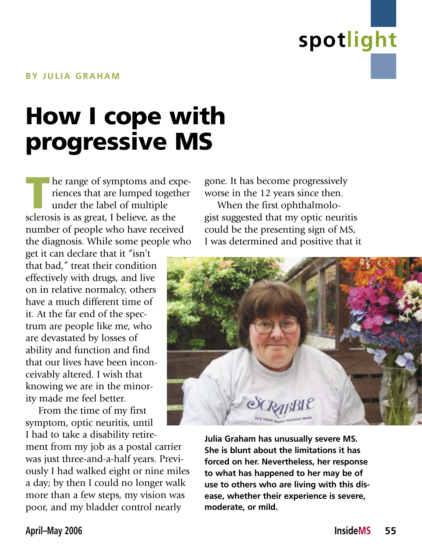

### How I cope with progressive MS

The range of symptoms and experiences that are lumped together<br>under the label of multiple<br>sclerosis is as great. I believe as the riences that are lumped together under the label of multiple sclerosis is as great, I believe, as the number of people who have received the diagnosis. While some people who

get it can declare that it "isn't that bad," treat their condition effectively with drugs, and live on in relative normalcy, others have a much different time of it. At the far end of the spectrum are people like me, who are devastated by losses of ability and function and find that our lives have been inconceivably altered. I wish that knowing we are in the minority made me feel better.

From the time of my first symptom, optic neuritis, until I had to take a disability retire-

ment from my job as a postal carrier was just three-and-a-half years. Previously I had walked eight or nine miles a day; by then I could no longer walk more than a few steps, my vision was poor, and my bladder control nearly

gone. It has become progressively worse in the 12 years since then.

When the first ophthalmologist suggested that my optic neuritis could be the presenting sign of MS, I was determined and positive that it



**Julia Graham has unusually severe MS. She is blunt about the limitations it has forced on her. Nevertheless, her response to what has happened to her may be of use to others who are living with this disease, whether their experience is severe, moderate, or mild.**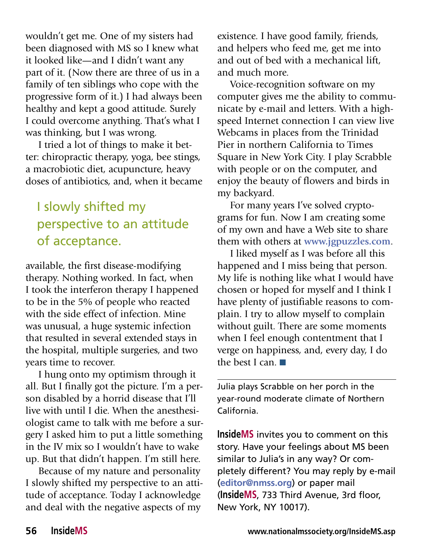wouldn't get me. One of my sisters had been diagnosed with MS so I knew what it looked like—and I didn't want any part of it. (Now there are three of us in a family of ten siblings who cope with the progressive form of it.) I had always been healthy and kept a good attitude. Surely I could overcome anything. That's what I was thinking, but I was wrong.

I tried a lot of things to make it better: chiropractic therapy, yoga, bee stings, a macrobiotic diet, acupuncture, heavy doses of antibiotics, and, when it became

### I slowly shifted my perspective to an attitude of acceptance.

available, the first disease-modifying therapy. Nothing worked. In fact, when I took the interferon therapy I happened to be in the 5% of people who reacted with the side effect of infection. Mine was unusual, a huge systemic infection that resulted in several extended stays in the hospital, multiple surgeries, and two years time to recover.

I hung onto my optimism through it all. But I finally got the picture. I'm a person disabled by a horrid disease that I'll live with until I die. When the anesthesiologist came to talk with me before a surgery I asked him to put a little something in the IV mix so I wouldn't have to wake up. But that didn't happen. I'm still here.

Because of my nature and personality I slowly shifted my perspective to an attitude of acceptance. Today I acknowledge and deal with the negative aspects of my

existence. I have good family, friends, and helpers who feed me, get me into and out of bed with a mechanical lift, and much more.

Voice-recognition software on my computer gives me the ability to communicate by e-mail and letters. With a highspeed Internet connection I can view live Webcams in places from the Trinidad Pier in northern California to Times Square in New York City. I play Scrabble with people or on the computer, and enjoy the beauty of flowers and birds in my backyard.

For many years I've solved cryptograms for fun. Now I am creating some of my own and have a Web site to share them with others at **www.jgpuzzles.com**.

I liked myself as I was before all this happened and I miss being that person. My life is nothing like what I would have chosen or hoped for myself and I think I have plenty of justifiable reasons to complain. I try to allow myself to complain without guilt. There are some moments when I feel enough contentment that I verge on happiness, and, every day, I do the best I can. ■

Julia plays Scrabble on her porch in the year-round moderate climate of Northern California.

**InsideMS** invites you to comment on this story. Have your feelings about MS been similar to Julia's in any way? Or completely different? You may reply by e-mail (**editor@nmss.org**) or paper mail (**InsideMS**, 733 Third Avenue, 3rd floor, New York, NY 10017).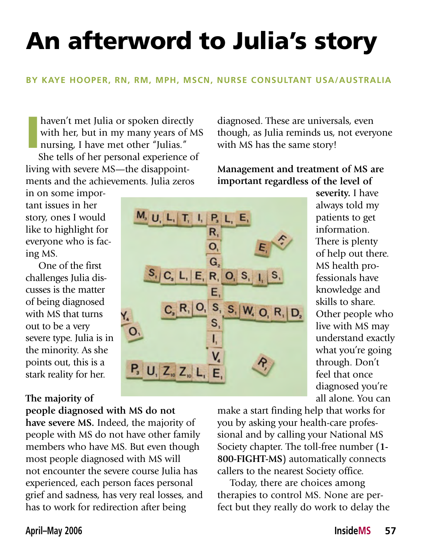# An afterword to Julia's story

#### **BY KAYE HOOPER, RN, RM, MPH, MSCN, NURSE CONSULTANT USA/AUSTRALIA**

I haven't met Julia or spoken directly with her, but in my many years of MS nursing, I have met other "Julias."

She tells of her personal experience of living with severe MS—the disappointments and the achievements. Julia zeros

in on some important issues in her story, ones I would like to highlight for everyone who is facing MS.

One of the first challenges Julia discusses is the matter of being diagnosed with MS that turns out to be a very severe type. Julia is in the minority. As she points out, this is a stark reality for her.

#### **The majority of**

**people diagnosed with MS do not have severe MS.** Indeed, the majority of

people with MS do not have other family members who have MS. But even though most people diagnosed with MS will not encounter the severe course Julia has experienced, each person faces personal grief and sadness, has very real losses, and has to work for redirection after being

diagnosed. These are universals, even though, as Julia reminds us, not everyone with MS has the same story!

**Management and treatment of MS are important regardless of the level of** 

> **severity.** I have always told my patients to get information. There is plenty of help out there. MS health professionals have knowledge and skills to share. Other people who live with MS may understand exactly what you're going through. Don't feel that once diagnosed you're all alone. You can

make a start finding help that works for you by asking your health-care professional and by calling your National MS Society chapter. The toll-free number (**1- 800-FIGHT-MS**) automatically connects callers to the nearest Society office.

Today, there are choices among therapies to control MS. None are perfect but they really do work to delay the

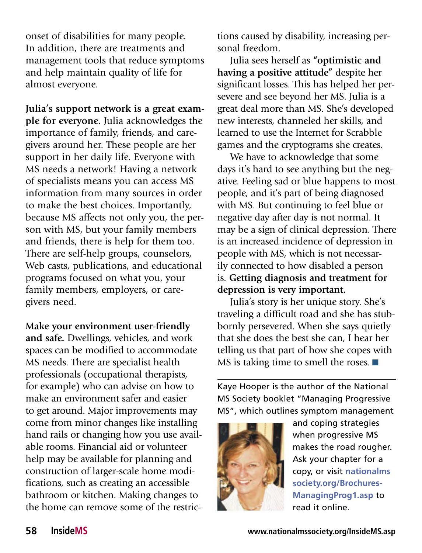onset of disabilities for many people. In addition, there are treatments and management tools that reduce symptoms and help maintain quality of life for almost everyone.

**Julia's support network is a great example for everyone.** Julia acknowledges the importance of family, friends, and caregivers around her. These people are her support in her daily life. Everyone with MS needs a network! Having a network of specialists means you can access MS information from many sources in order to make the best choices. Importantly, because MS affects not only you, the person with MS, but your family members and friends, there is help for them too. There are self-help groups, counselors, Web casts, publications, and educational programs focused on what you, your family members, employers, or caregivers need.

**Make your environment user-friendly and safe.** Dwellings, vehicles, and work spaces can be modified to accommodate MS needs. There are specialist health professionals (occupational therapists, for example) who can advise on how to make an environment safer and easier to get around. Major improvements may come from minor changes like installing hand rails or changing how you use available rooms. Financial aid or volunteer help may be available for planning and construction of larger-scale home modifications, such as creating an accessible bathroom or kitchen. Making changes to the home can remove some of the restrictions caused by disability, increasing personal freedom.

Julia sees herself as **"optimistic and having a positive attitude"** despite her significant losses. This has helped her persevere and see beyond her MS. Julia is a great deal more than MS. She's developed new interests, channeled her skills, and learned to use the Internet for Scrabble games and the cryptograms she creates.

We have to acknowledge that some days it's hard to see anything but the negative. Feeling sad or blue happens to most people, and it's part of being diagnosed with MS. But continuing to feel blue or negative day after day is not normal. It may be a sign of clinical depression. There is an increased incidence of depression in people with MS, which is not necessarily connected to how disabled a person is. **Getting diagnosis and treatment for depression is very important.** 

Julia's story is her unique story. She's traveling a difficult road and she has stubbornly persevered. When she says quietly that she does the best she can, I hear her telling us that part of how she copes with MS is taking time to smell the roses. ■

Kaye Hooper is the author of the National MS Society booklet "Managing Progressive MS", which outlines symptom management



and coping strategies when progressive MS makes the road rougher. Ask your chapter for a copy, or visit **nationalms society.org/Brochures-ManagingProg1.asp** to read it online.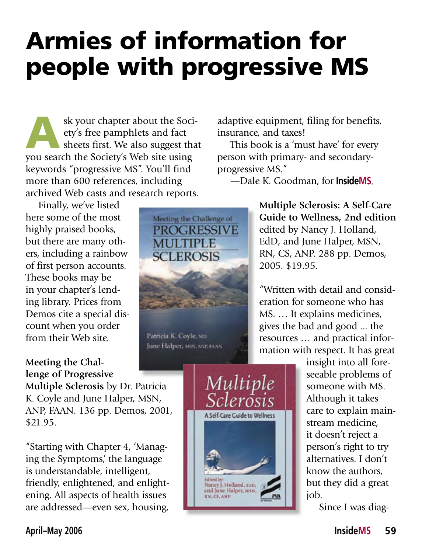## Armies of information for people with progressive MS

sk your chapter about the Society's free pamphlets and fact<br>sheets first. We also suggest that ety's free pamphlets and fact sheets first. We also suggest that you search the Society's Web site using keywords "progressive MS". You'll find more than 600 references, including archived Web casts and research reports.

Finally, we've listed here some of the most highly praised books, but there are many others, including a rainbow of first person accounts. These books may be in your chapter's lending library. Prices from Demos cite a special discount when you order from their Web site.

#### **Meeting the Challenge of Progressive**

**Multiple Sclerosis** by Dr. Patricia K. Coyle and June Halper, MSN, ANP, FAAN. 136 pp. Demos, 2001, \$21.95.

"Starting with Chapter 4, 'Managing the Symptoms,' the language is understandable, intelligent, friendly, enlightened, and enlightening. All aspects of health issues are addressed—even sex, housing,



Patricia K. Coyle, MD June Halper, MSN, ANE FAAN

Multiple

**A Self-Care Guide to Wellness** 

Nancy J. Holland, 1910,<br>and June Halper, 1458,

adaptive equipment, filing for benefits, insurance, and taxes!

This book is a 'must have' for every person with primary- and secondaryprogressive MS."

—Dale K. Goodman, for **InsideMS**.

**Multiple Sclerosis: A Self-Care Guide to Wellness, 2nd edition** edited by Nancy J. Holland, EdD, and June Halper, MSN, RN, CS, ANP. 288 pp. Demos, 2005. \$19.95.

"Written with detail and consideration for someone who has MS. … It explains medicines, gives the bad and good ... the resources … and practical information with respect. It has great

> insight into all foreseeable problems of someone with MS. Although it takes care to explain mainstream medicine, it doesn't reject a person's right to try alternatives. I don't know the authors, but they did a great job.

Since I was diag-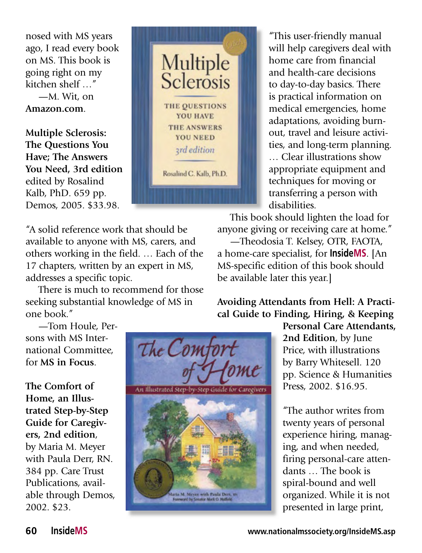nosed with MS years ago, I read every book on MS. This book is going right on my kitchen shelf …" —M. Wit, on **Amazon.com**.

**Multiple Sclerosis: The Questions You Have; The Answers You Need, 3rd edition** edited by Rosalind Kalb, PhD. 659 pp. Demos, 2005. \$33.98.



There is much to recommend for those seeking substantial knowledge of MS in one book."

"This user-friendly manual will help caregivers deal with home care from financial and health-care decisions to day-to-day basics. There is practical information on medical emergencies, home adaptations, avoiding burnout, travel and leisure activities, and long-term planning. … Clear illustrations show appropriate equipment and techniques for moving or transferring a person with disabilities.

This book should lighten the load for anyone giving or receiving care at home."

—Theodosia T. Kelsey, OTR, FAOTA, a home-care specialist, for **InsideMS**. [An MS-specific edition of this book should be available later this year.]

—Tom Houle, Persons with MS International Committee, for **MS in Focus**.

**The Comfort of Home, an Illustrated Step-by-Step Guide for Caregivers, 2nd edition**, by Maria M. Meyer with Paula Derr, RN. 384 pp. Care Trust Publications, available through Demos, 2002. \$23.



Multiple<br>Sclerosis

THE QUESTIONS **YOU HAVE THE ANSWERS YOU NEED** *ard edition* 

Rosalind C. Kalb, Ph.D.

**Avoiding Attendants from Hell: A Practical Guide to Finding, Hiring, & Keeping** 

> **Personal Care Attendants, 2nd Edition**, by June Price, with illustrations by Barry Whitesell. 120 pp. Science & Humanities Press, 2002. \$16.95.

"The author writes from twenty years of personal experience hiring, managing, and when needed, firing personal-care attendants … The book is spiral-bound and well organized. While it is not presented in large print,